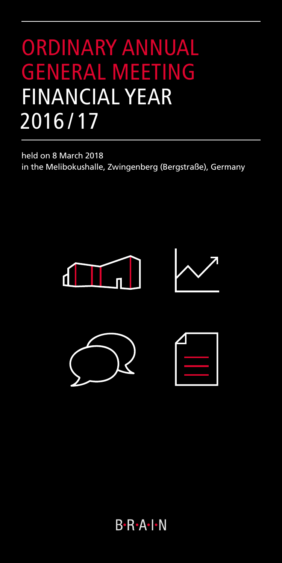# ORDINARY ANNUAL GENERAL MEETING FINANCIAL YEAR 2016 / 17

held on 8 March 2018 in the Melibokushalle, Zwingenberg (Bergstraße), Germany









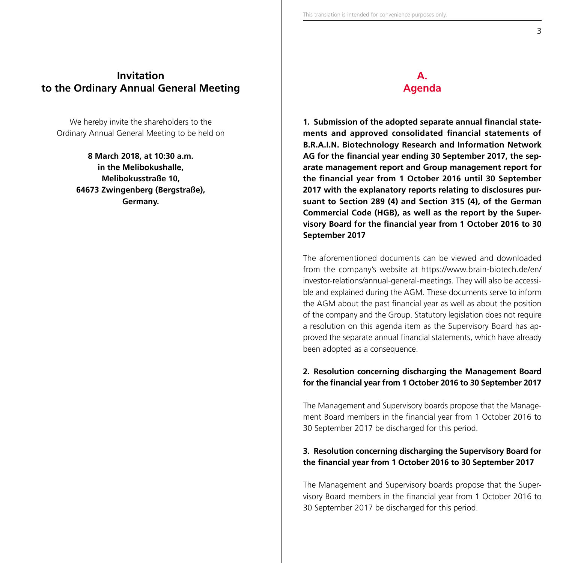# **Invitation to the Ordinary Annual General Meeting**

We hereby invite the shareholders to the Ordinary Annual General Meeting to be held on

> **8 March 2018, at 10:30 a.m. in the Melibokushalle, Melibokusstraße 10, 64673 Zwingenberg (Bergstraße), Germany.**

# **A. Agenda**

**1. Submission of the adopted separate annual financial statements and approved consolidated financial statements of B.R.A.I.N. Biotechnology Research and Information Network AG for the financial year ending 30 September 2017, the separate management report and Group management report for the financial year from 1 October 2016 until 30 September 2017 with the explanatory reports relating to disclosures pursuant to Section 289 (4) and Section 315 (4), of the German Commercial Code (HGB), as well as the report by the Supervisory Board for the financial year from 1 October 2016 to 30 September 2017**

The aforementioned documents can be viewed and downloaded from the company's website at https://www.brain-biotech.de/en/ investor-relations/annual-general-meetings. They will also be accessible and explained during the AGM. These documents serve to inform the AGM about the past financial year as well as about the position of the company and the Group. Statutory legislation does not require a resolution on this agenda item as the Supervisory Board has approved the separate annual financial statements, which have already been adopted as a consequence.

## **2. Resolution concerning discharging the Management Board for the financial year from 1 October 2016 to 30 September 2017**

The Management and Supervisory boards propose that the Management Board members in the financial year from 1 October 2016 to 30 September 2017 be discharged for this period.

## **3. Resolution concerning discharging the Supervisory Board for the financial year from 1 October 2016 to 30 September 2017**

The Management and Supervisory boards propose that the Supervisory Board members in the financial year from 1 October 2016 to 30 September 2017 be discharged for this period.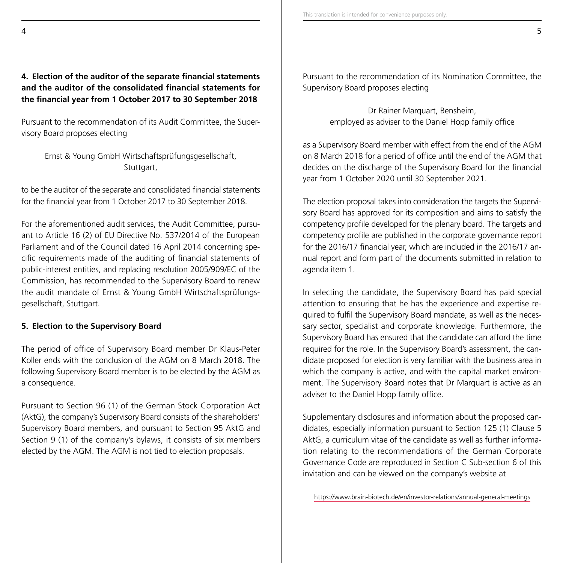# **4. Election of the auditor of the separate financial statements and the auditor of the consolidated financial statements for the financial year from 1 October 2017 to 30 September 2018**

Pursuant to the recommendation of its Audit Committee, the Supervisory Board proposes electing

Ernst & Young GmbH Wirtschaftsprüfungsgesellschaft, Stuttgart,

to be the auditor of the separate and consolidated financial statements for the financial year from 1 October 2017 to 30 September 2018.

For the aforementioned audit services, the Audit Committee, pursuant to Article 16 (2) of EU Directive No. 537/2014 of the European Parliament and of the Council dated 16 April 2014 concerning specific requirements made of the auditing of financial statements of public-interest entities, and replacing resolution 2005/909/EC of the Commission, has recommended to the Supervisory Board to renew the audit mandate of Ernst & Young GmbH Wirtschaftsprüfungsgesellschaft, Stuttgart.

## **5. Election to the Supervisory Board**

The period of office of Supervisory Board member Dr Klaus-Peter Koller ends with the conclusion of the AGM on 8 March 2018. The following Supervisory Board member is to be elected by the AGM as a consequence.

Pursuant to Section 96 (1) of the German Stock Corporation Act (AktG), the company's Supervisory Board consists of the shareholders' Supervisory Board members, and pursuant to Section 95 AktG and Section 9 (1) of the company's bylaws, it consists of six members elected by the AGM. The AGM is not tied to election proposals.

Pursuant to the recommendation of its Nomination Committee, the Supervisory Board proposes electing

> Dr Rainer Marquart, Bensheim, employed as adviser to the Daniel Hopp family office

as a Supervisory Board member with effect from the end of the AGM on 8 March 2018 for a period of office until the end of the AGM that decides on the discharge of the Supervisory Board for the financial year from 1 October 2020 until 30 September 2021.

The election proposal takes into consideration the targets the Supervisory Board has approved for its composition and aims to satisfy the competency profile developed for the plenary board. The targets and competency profile are published in the corporate governance report for the 2016/17 financial year, which are included in the 2016/17 annual report and form part of the documents submitted in relation to agenda item 1.

In selecting the candidate, the Supervisory Board has paid special attention to ensuring that he has the experience and expertise required to fulfil the Supervisory Board mandate, as well as the necessary sector, specialist and corporate knowledge. Furthermore, the Supervisory Board has ensured that the candidate can afford the time required for the role. In the Supervisory Board's assessment, the candidate proposed for election is very familiar with the business area in which the company is active, and with the capital market environment. The Supervisory Board notes that Dr Marquart is active as an adviser to the Daniel Hopp family office.

Supplementary disclosures and information about the proposed candidates, especially information pursuant to Section 125 (1) Clause 5 AktG, a curriculum vitae of the candidate as well as further information relating to the recommendations of the German Corporate Governance Code are reproduced in Section C Sub-section 6 of this invitation and can be viewed on the company's website at

https://www.brain-biotech.de/en/investor-relations/annual-general-meetings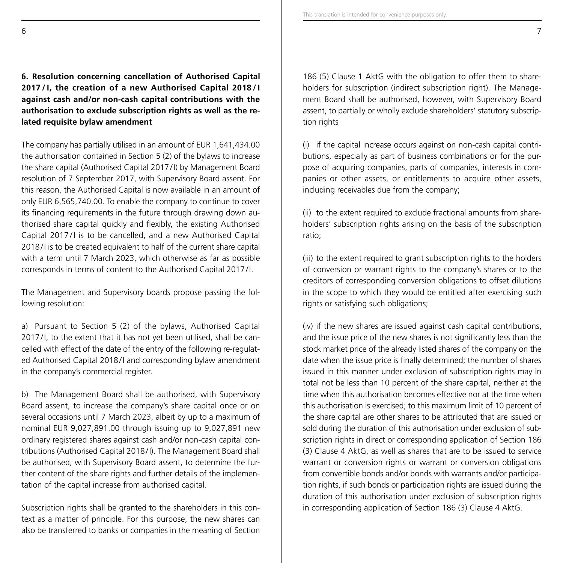**6. Resolution concerning cancellation of Authorised Capital 2017 /I, the creation of a new Authorised Capital 2018 /I against cash and/or non-cash capital contributions with the authorisation to exclude subscription rights as well as the related requisite bylaw amendment**

The company has partially utilised in an amount of EUR 1,641,434.00 the authorisation contained in Section 5 (2) of the bylaws to increase the share capital (Authorised Capital 2017/I) by Management Board resolution of 7 September 2017, with Supervisory Board assent. For this reason, the Authorised Capital is now available in an amount of only EUR 6,565,740.00. To enable the company to continue to cover its financing requirements in the future through drawing down authorised share capital quickly and flexibly, the existing Authorised Capital 2017/I is to be cancelled, and a new Authorised Capital 2018/I is to be created equivalent to half of the current share capital with a term until 7 March 2023, which otherwise as far as possible corresponds in terms of content to the Authorised Capital 2017/I.

The Management and Supervisory boards propose passing the following resolution:

a) Pursuant to Section 5 (2) of the bylaws, Authorised Capital 2017/I, to the extent that it has not yet been utilised, shall be cancelled with effect of the date of the entry of the following re-regulated Authorised Capital 2018/I and corresponding bylaw amendment in the company's commercial register.

b) The Management Board shall be authorised, with Supervisory Board assent, to increase the company's share capital once or on several occasions until 7 March 2023, albeit by up to a maximum of nominal EUR 9,027,891.00 through issuing up to 9,027,891 new ordinary registered shares against cash and/or non-cash capital contributions (Authorised Capital 2018/I). The Management Board shall be authorised, with Supervisory Board assent, to determine the further content of the share rights and further details of the implementation of the capital increase from authorised capital.

Subscription rights shall be granted to the shareholders in this context as a matter of principle. For this purpose, the new shares can also be transferred to banks or companies in the meaning of Section 186 (5) Clause 1 AktG with the obligation to offer them to shareholders for subscription (indirect subscription right). The Management Board shall be authorised, however, with Supervisory Board assent, to partially or wholly exclude shareholders' statutory subscription rights

(i) if the capital increase occurs against on non-cash capital contributions, especially as part of business combinations or for the purpose of acquiring companies, parts of companies, interests in companies or other assets, or entitlements to acquire other assets, including receivables due from the company;

(ii) to the extent required to exclude fractional amounts from shareholders' subscription rights arising on the basis of the subscription ratio;

(iii) to the extent required to grant subscription rights to the holders of conversion or warrant rights to the company's shares or to the creditors of corresponding conversion obligations to offset dilutions in the scope to which they would be entitled after exercising such rights or satisfying such obligations;

(iv) if the new shares are issued against cash capital contributions, and the issue price of the new shares is not significantly less than the stock market price of the already listed shares of the company on the date when the issue price is finally determined; the number of shares issued in this manner under exclusion of subscription rights may in total not be less than 10 percent of the share capital, neither at the time when this authorisation becomes effective nor at the time when this authorisation is exercised; to this maximum limit of 10 percent of the share capital are other shares to be attributed that are issued or sold during the duration of this authorisation under exclusion of subscription rights in direct or corresponding application of Section 186 (3) Clause 4 AktG, as well as shares that are to be issued to service warrant or conversion rights or warrant or conversion obligations from convertible bonds and/or bonds with warrants and/or participation rights, if such bonds or participation rights are issued during the duration of this authorisation under exclusion of subscription rights in corresponding application of Section 186 (3) Clause 4 AktG.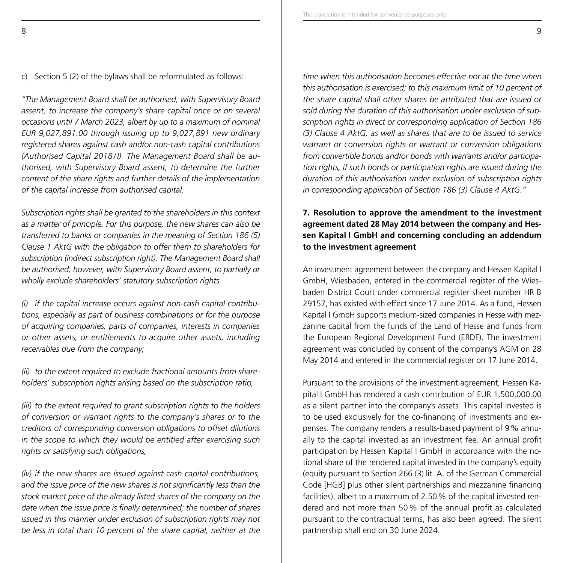c) Section 5 (2) of the bylaws shall be reformulated as follows:

*"The Management Board shall be authorised, with Supervisory Board assent, to increase the company's share capital once or on several occasions until 7 March 2023, albeit by up to a maximum of nominal EUR 9,027,891.00 through issuing up to 9,027,891 new ordinary registered shares against cash and/or non-cash capital contributions (Authorised Capital 2018/ I). The Management Board shall be authorised, with Supervisory Board assent, to determine the further content of the share rights and further details of the implementation of the capital increase from authorised capital.*

*Subscription rights shall be granted to the shareholders in this context as a matter of principle. For this purpose, the new shares can also be transferred to banks or companies in the meaning of Section 186 (5) Clause 1 AktG with the obligation to offer them to shareholders for subscription (indirect subscription right). The Management Board shall be authorised, however, with Supervisory Board assent, to partially or wholly exclude shareholders' statutory subscription rights*

*(i) if the capital increase occurs against non-cash capital contributions, especially as part of business combinations or for the purpose of acquiring companies, parts of companies, interests in companies or other assets, or entitlements to acquire other assets, including receivables due from the company;*

*(ii) to the extent required to exclude fractional amounts from shareholders' subscription rights arising based on the subscription ratio;*

*(iii) to the extent required to grant subscription rights to the holders of conversion or warrant rights to the company's shares or to the creditors of corresponding conversion obligations to offset dilutions in the scope to which they would be entitled after exercising such rights or satisfying such obligations;*

*(iv) if the new shares are issued against cash capital contributions, and the issue price of the new shares is not significantly less than the stock market price of the already listed shares of the company on the date when the issue price is finally determined; the number of shares issued in this manner under exclusion of subscription rights may not be less in total than 10 percent of the share capital, neither at the* 

*time when this authorisation becomes effective nor at the time when*  this authorisation is exercised; to this maximum limit of 10 percent of *the share capital shall other shares be attributed that are issued or sold during the duration of this authorisation under exclusion of subscription rights in direct or corresponding application of Section 186 (3) Clause 4 AktG, as well as shares that are to be issued to service warrant or conversion rights or warrant or conversion obligations from convertible bonds and/or bonds with warrants and/or participation rights, if such bonds or participation rights are issued during the duration of this authorisation under exclusion of subscription rights in corresponding application of Section 186 (3) Clause 4 AktG."*

## **7. Resolution to approve the amendment to the investment agreement dated 28 May 2014 between the company and Hessen Kapital I GmbH and concerning concluding an addendum to the investment agreement**

An investment agreement between the company and Hessen Kapital I GmbH, Wiesbaden, entered in the commercial register of the Wiesbaden District Court under commercial register sheet number HR B 29157, has existed with effect since 17 June 2014. As a fund, Hessen Kapital I GmbH supports medium-sized companies in Hesse with mezzanine capital from the funds of the Land of Hesse and funds from the European Regional Development Fund (ERDF). The investment agreement was concluded by consent of the company's AGM on 28 May 2014 and entered in the commercial register on 17 June 2014.

Pursuant to the provisions of the investment agreement, Hessen Kapital I GmbH has rendered a cash contribution of EUR 1,500,000.00 as a silent partner into the company's assets. This capital invested is to be used exclusively for the co-financing of investments and expenses. The company renders a results-based payment of 9% annually to the capital invested as an investment fee. An annual profit participation by Hessen Kapital I GmbH in accordance with the notional share of the rendered capital invested in the company's equity (equity pursuant to Section 266 (3) lit. A. of the German Commercial Code [HGB] plus other silent partnerships and mezzanine financing facilities), albeit to a maximum of 2.50% of the capital invested rendered and not more than 50% of the annual profit as calculated pursuant to the contractual terms, has also been agreed. The silent partnership shall end on 30 June 2024.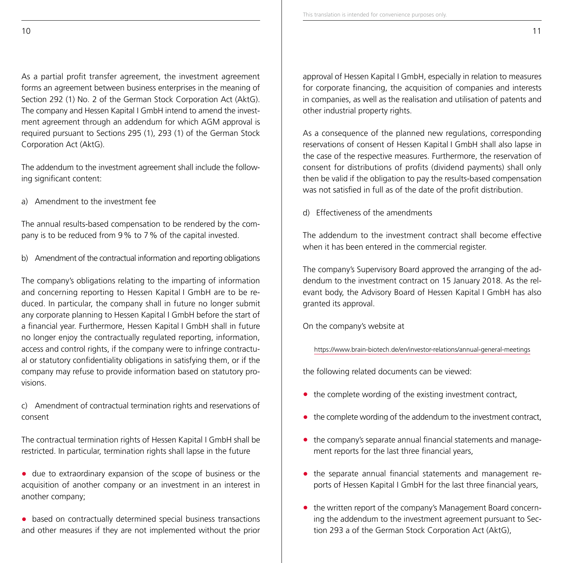As a partial profit transfer agreement, the investment agreement forms an agreement between business enterprises in the meaning of Section 292 (1) No. 2 of the German Stock Corporation Act (AktG). The company and Hessen Kapital I GmbH intend to amend the investment agreement through an addendum for which AGM approval is required pursuant to Sections 295 (1), 293 (1) of the German Stock Corporation Act (AktG).

The addendum to the investment agreement shall include the following significant content:

a) Amendment to the investment fee

The annual results-based compensation to be rendered by the company is to be reduced from 9% to 7% of the capital invested.

b) Amendment of the contractual information and reporting obligations

The company's obligations relating to the imparting of information and concerning reporting to Hessen Kapital I GmbH are to be reduced. In particular, the company shall in future no longer submit any corporate planning to Hessen Kapital I GmbH before the start of a financial year. Furthermore, Hessen Kapital I GmbH shall in future no longer enjoy the contractually regulated reporting, information, access and control rights, if the company were to infringe contractual or statutory confidentiality obligations in satisfying them, or if the company may refuse to provide information based on statutory provisions.

c) Amendment of contractual termination rights and reservations of consent

The contractual termination rights of Hessen Kapital I GmbH shall be restricted. In particular, termination rights shall lapse in the future

- **•** due to extraordinary expansion of the scope of business or the acquisition of another company or an investment in an interest in another company;
- **•** based on contractually determined special business transactions and other measures if they are not implemented without the prior

approval of Hessen Kapital I GmbH, especially in relation to measures for corporate financing, the acquisition of companies and interests in companies, as well as the realisation and utilisation of patents and other industrial property rights.

As a consequence of the planned new regulations, corresponding reservations of consent of Hessen Kapital I GmbH shall also lapse in the case of the respective measures. Furthermore, the reservation of consent for distributions of profits (dividend payments) shall only then be valid if the obligation to pay the results-based compensation was not satisfied in full as of the date of the profit distribution.

d) Effectiveness of the amendments

The addendum to the investment contract shall become effective when it has been entered in the commercial register.

The company's Supervisory Board approved the arranging of the addendum to the investment contract on 15 January 2018. As the relevant body, the Advisory Board of Hessen Kapital I GmbH has also granted its approval.

On the company's website at

https://www.brain-biotech.de/en/investor-relations/annual-general-meetings

the following related documents can be viewed:

- **•** the complete wording of the existing investment contract,
- **•** the complete wording of the addendum to the investment contract,
- **•** the company's separate annual financial statements and management reports for the last three financial years,
- **•** the separate annual financial statements and management reports of Hessen Kapital I GmbH for the last three financial years,
- **•** the written report of the company's Management Board concerning the addendum to the investment agreement pursuant to Section 293 a of the German Stock Corporation Act (AktG),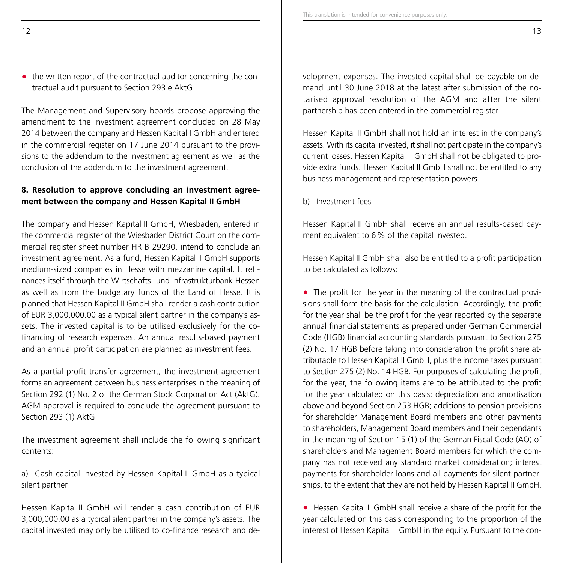• the written report of the contractual auditor concerning the contractual audit pursuant to Section 293 e AktG.

The Management and Supervisory boards propose approving the amendment to the investment agreement concluded on 28 May 2014 between the company and Hessen Kapital I GmbH and entered in the commercial register on 17 June 2014 pursuant to the provisions to the addendum to the investment agreement as well as the conclusion of the addendum to the investment agreement.

# **8. Resolution to approve concluding an investment agreement between the company and Hessen Kapital II GmbH**

The company and Hessen Kapital II GmbH, Wiesbaden, entered in the commercial register of the Wiesbaden District Court on the commercial register sheet number HR B 29290, intend to conclude an investment agreement. As a fund, Hessen Kapital II GmbH supports medium-sized companies in Hesse with mezzanine capital. It refinances itself through the Wirtschafts- und Infrastrukturbank Hessen as well as from the budgetary funds of the Land of Hesse. It is planned that Hessen Kapital II GmbH shall render a cash contribution of EUR 3,000,000.00 as a typical silent partner in the company's assets. The invested capital is to be utilised exclusively for the cofinancing of research expenses. An annual results-based payment and an annual profit participation are planned as investment fees.

As a partial profit transfer agreement, the investment agreement forms an agreement between business enterprises in the meaning of Section 292 (1) No. 2 of the German Stock Corporation Act (AktG). AGM approval is required to conclude the agreement pursuant to Section 293 (1) AktG

The investment agreement shall include the following significant contents:

a) Cash capital invested by Hessen Kapital II GmbH as a typical silent partner

Hessen Kapital II GmbH will render a cash contribution of EUR 3,000,000.00 as a typical silent partner in the company's assets. The capital invested may only be utilised to co-finance research and development expenses. The invested capital shall be payable on demand until 30 June 2018 at the latest after submission of the notarised approval resolution of the AGM and after the silent partnership has been entered in the commercial register.

This translation is intended for convenience purposes only.

Hessen Kapital II GmbH shall not hold an interest in the company's assets. With its capital invested, it shall not participate in the company's current losses. Hessen Kapital II GmbH shall not be obligated to provide extra funds. Hessen Kapital II GmbH shall not be entitled to any business management and representation powers.

b) Investment fees

Hessen Kapital II GmbH shall receive an annual results-based payment equivalent to 6% of the capital invested.

Hessen Kapital II GmbH shall also be entitled to a profit participation to be calculated as follows:

**•** The profit for the year in the meaning of the contractual provisions shall form the basis for the calculation. Accordingly, the profit for the year shall be the profit for the year reported by the separate annual financial statements as prepared under German Commercial Code (HGB) financial accounting standards pursuant to Section 275 (2) No. 17 HGB before taking into consideration the profit share attributable to Hessen Kapital II GmbH, plus the income taxes pursuant to Section 275 (2) No. 14 HGB. For purposes of calculating the profit for the year, the following items are to be attributed to the profit for the year calculated on this basis: depreciation and amortisation above and beyond Section 253 HGB; additions to pension provisions for shareholder Management Board members and other payments to shareholders, Management Board members and their dependants in the meaning of Section 15 (1) of the German Fiscal Code (AO) of shareholders and Management Board members for which the company has not received any standard market consideration; interest payments for shareholder loans and all payments for silent partnerships, to the extent that they are not held by Hessen Kapital II GmbH.

**•** Hessen Kapital II GmbH shall receive a share of the profit for the year calculated on this basis corresponding to the proportion of the interest of Hessen Kapital II GmbH in the equity. Pursuant to the con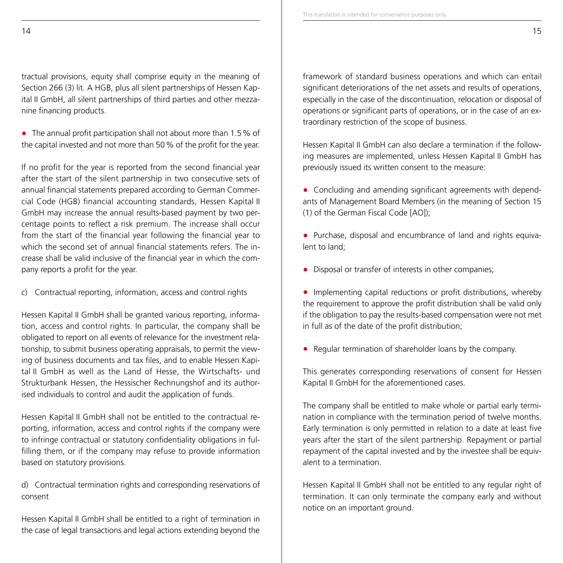tractual provisions, equity shall comprise equity in the meaning of Section 266 (3) lit. A HGB, plus all silent partnerships of Hessen Kapital II GmbH, all silent partnerships of third parties and other mezzanine financing products.

**•** The annual profit participation shall not about more than 1.5% of the capital invested and not more than 50% of the profit for the year.

If no profit for the year is reported from the second financial year after the start of the silent partnership in two consecutive sets of annual financial statements prepared according to German Commercial Code (HGB) financial accounting standards, Hessen Kapital II GmbH may increase the annual results-based payment by two percentage points to reflect a risk premium. The increase shall occur from the start of the financial year following the financial year to which the second set of annual financial statements refers. The increase shall be valid inclusive of the financial year in which the company reports a profit for the year.

c) Contractual reporting, information, access and control rights

Hessen Kapital II GmbH shall be granted various reporting, information, access and control rights. In particular, the company shall be obligated to report on all events of relevance for the investment relationship, to submit business operating appraisals, to permit the viewing of business documents and tax files, and to enable Hessen Kapital II GmbH as well as the Land of Hesse, the Wirtschafts- und Strukturbank Hessen, the Hessischer Rechnungshof and its authorised individuals to control and audit the application of funds.

Hessen Kapital II GmbH shall not be entitled to the contractual reporting, information, access and control rights if the company were to infringe contractual or statutory confidentiality obligations in fulfilling them, or if the company may refuse to provide information based on statutory provisions.

d) Contractual termination rights and corresponding reservations of consent

Hessen Kapital II GmbH shall be entitled to a right of termination in the case of legal transactions and legal actions extending beyond the framework of standard business operations and which can entail significant deteriorations of the net assets and results of operations, especially in the case of the discontinuation, relocation or disposal of operations or significant parts of operations, or in the case of an extraordinary restriction of the scope of business.

Hessen Kapital II GmbH can also declare a termination if the following measures are implemented, unless Hessen Kapital II GmbH has previously issued its written consent to the measure:

- **•** Concluding and amending significant agreements with dependants of Management Board Members (in the meaning of Section 15 (1) of the German Fiscal Code [AO]);
- **•** Purchase, disposal and encumbrance of land and rights equivalent to land;
- **•** Disposal or transfer of interests in other companies;
- **•** Implementing capital reductions or profit distributions, whereby the requirement to approve the profit distribution shall be valid only if the obligation to pay the results-based compensation were not met in full as of the date of the profit distribution;
- **•** Regular termination of shareholder loans by the company.

This generates corresponding reservations of consent for Hessen Kapital II GmbH for the aforementioned cases.

The company shall be entitled to make whole or partial early termination in compliance with the termination period of twelve months. Early termination is only permitted in relation to a date at least five years after the start of the silent partnership. Repayment or partial repayment of the capital invested and by the investee shall be equivalent to a termination.

Hessen Kapital II GmbH shall not be entitled to any regular right of termination. It can only terminate the company early and without notice on an important ground.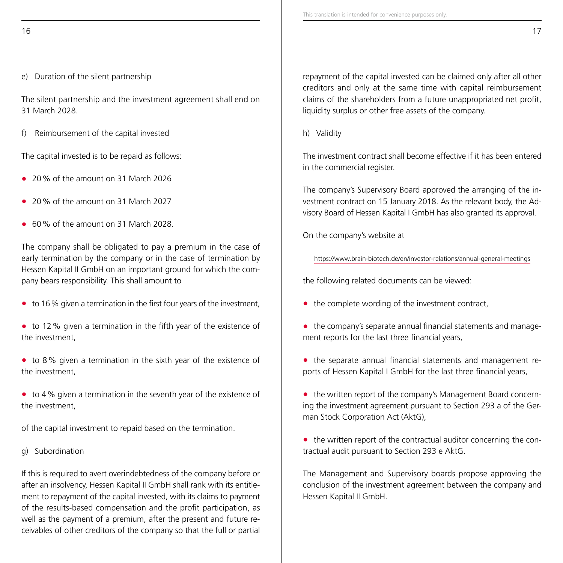e) Duration of the silent partnership

The silent partnership and the investment agreement shall end on 31 March 2028.

f) Reimbursement of the capital invested

The capital invested is to be repaid as follows:

- **•** 20% of the amount on 31 March 2026
- **•** 20% of the amount on 31 March 2027
- **•** 60% of the amount on 31 March 2028.

The company shall be obligated to pay a premium in the case of early termination by the company or in the case of termination by Hessen Kapital II GmbH on an important ground for which the company bears responsibility. This shall amount to

**•** to 16% given a termination in the first four years of the investment,

**•** to 12% given a termination in the fifth year of the existence of the investment,

**•** to 8% given a termination in the sixth year of the existence of the investment,

**•** to 4% given a termination in the seventh year of the existence of the investment,

of the capital investment to repaid based on the termination.

g) Subordination

If this is required to avert overindebtedness of the company before or after an insolvency, Hessen Kapital II GmbH shall rank with its entitlement to repayment of the capital invested, with its claims to payment of the results-based compensation and the profit participation, as well as the payment of a premium, after the present and future receivables of other creditors of the company so that the full or partial repayment of the capital invested can be claimed only after all other creditors and only at the same time with capital reimbursement claims of the shareholders from a future unappropriated net profit, liquidity surplus or other free assets of the company.

h) Validity

The investment contract shall become effective if it has been entered in the commercial register.

The company's Supervisory Board approved the arranging of the investment contract on 15 January 2018. As the relevant body, the Advisory Board of Hessen Kapital I GmbH has also granted its approval.

On the company's website at

https://www.brain-biotech.de/en/investor-relations/annual-general-meetings

the following related documents can be viewed:

- **•** the complete wording of the investment contract,
- **•** the company's separate annual financial statements and management reports for the last three financial years,
- **•** the separate annual financial statements and management reports of Hessen Kapital I GmbH for the last three financial years,
- **•** the written report of the company's Management Board concerning the investment agreement pursuant to Section 293 a of the German Stock Corporation Act (AktG),
- the written report of the contractual auditor concerning the contractual audit pursuant to Section 293 e AktG.

The Management and Supervisory boards propose approving the conclusion of the investment agreement between the company and Hessen Kapital II GmbH.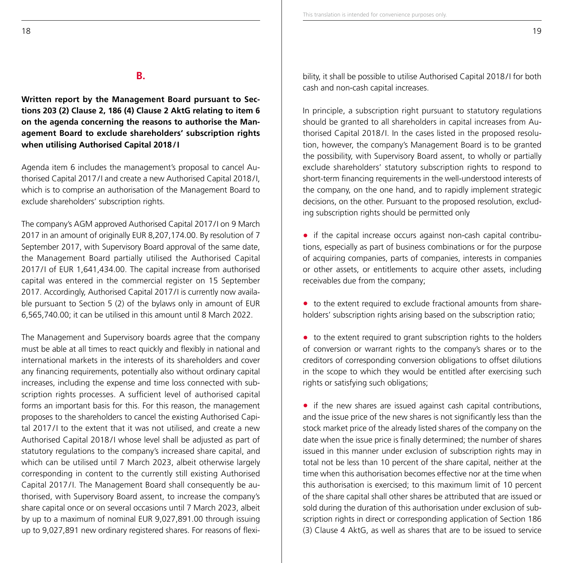## **B.**

**Written report by the Management Board pursuant to Sections 203 (2) Clause 2, 186 (4) Clause 2 AktG relating to item 6 on the agenda concerning the reasons to authorise the Management Board to exclude shareholders' subscription rights when utilising Authorised Capital 2018/I**

Agenda item 6 includes the management's proposal to cancel Authorised Capital 2017/I and create a new Authorised Capital 2018/I, which is to comprise an authorisation of the Management Board to exclude shareholders' subscription rights.

The company's AGM approved Authorised Capital 2017/I on 9 March 2017 in an amount of originally EUR 8,207,174.00. By resolution of 7 September 2017, with Supervisory Board approval of the same date, the Management Board partially utilised the Authorised Capital 2017/I of EUR 1,641,434.00. The capital increase from authorised capital was entered in the commercial register on 15 September 2017. Accordingly, Authorised Capital 2017/I is currently now available pursuant to Section 5 (2) of the bylaws only in amount of EUR 6,565,740.00; it can be utilised in this amount until 8 March 2022.

The Management and Supervisory boards agree that the company must be able at all times to react quickly and flexibly in national and international markets in the interests of its shareholders and cover any financing requirements, potentially also without ordinary capital increases, including the expense and time loss connected with subscription rights processes. A sufficient level of authorised capital forms an important basis for this. For this reason, the management proposes to the shareholders to cancel the existing Authorised Capital 2017 /I to the extent that it was not utilised, and create a new Authorised Capital 2018 /I whose level shall be adjusted as part of statutory regulations to the company's increased share capital, and which can be utilised until 7 March 2023, albeit otherwise largely corresponding in content to the currently still existing Authorised Capital 2017/I. The Management Board shall consequently be authorised, with Supervisory Board assent, to increase the company's share capital once or on several occasions until 7 March 2023, albeit by up to a maximum of nominal EUR 9,027,891.00 through issuing up to 9,027,891 new ordinary registered shares. For reasons of flexibility, it shall be possible to utilise Authorised Capital 2018/I for both cash and non-cash capital increases.

In principle, a subscription right pursuant to statutory regulations should be granted to all shareholders in capital increases from Authorised Capital 2018/I. In the cases listed in the proposed resolution, however, the company's Management Board is to be granted the possibility, with Supervisory Board assent, to wholly or partially exclude shareholders' statutory subscription rights to respond to short-term financing requirements in the well-understood interests of the company, on the one hand, and to rapidly implement strategic decisions, on the other. Pursuant to the proposed resolution, excluding subscription rights should be permitted only

**•** if the capital increase occurs against non-cash capital contributions, especially as part of business combinations or for the purpose of acquiring companies, parts of companies, interests in companies or other assets, or entitlements to acquire other assets, including receivables due from the company;

**•** to the extent required to exclude fractional amounts from shareholders' subscription rights arising based on the subscription ratio;

• to the extent required to grant subscription rights to the holders of conversion or warrant rights to the company's shares or to the creditors of corresponding conversion obligations to offset dilutions in the scope to which they would be entitled after exercising such rights or satisfying such obligations;

• if the new shares are issued against cash capital contributions, and the issue price of the new shares is not significantly less than the stock market price of the already listed shares of the company on the date when the issue price is finally determined; the number of shares issued in this manner under exclusion of subscription rights may in total not be less than 10 percent of the share capital, neither at the time when this authorisation becomes effective nor at the time when this authorisation is exercised; to this maximum limit of 10 percent of the share capital shall other shares be attributed that are issued or sold during the duration of this authorisation under exclusion of subscription rights in direct or corresponding application of Section 186 (3) Clause 4 AktG, as well as shares that are to be issued to service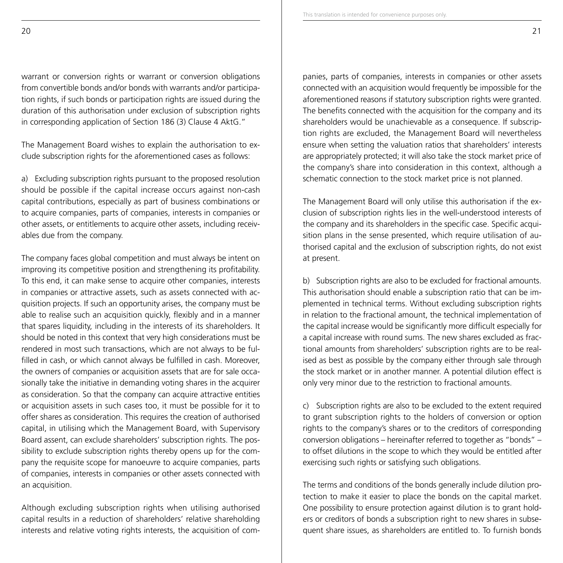warrant or conversion rights or warrant or conversion obligations from convertible bonds and/or bonds with warrants and/or participation rights, if such bonds or participation rights are issued during the duration of this authorisation under exclusion of subscription rights in corresponding application of Section 186 (3) Clause 4 AktG."

The Management Board wishes to explain the authorisation to exclude subscription rights for the aforementioned cases as follows:

a) Excluding subscription rights pursuant to the proposed resolution should be possible if the capital increase occurs against non-cash capital contributions, especially as part of business combinations or to acquire companies, parts of companies, interests in companies or other assets, or entitlements to acquire other assets, including receivables due from the company.

The company faces global competition and must always be intent on improving its competitive position and strengthening its profitability. To this end, it can make sense to acquire other companies, interests in companies or attractive assets, such as assets connected with acquisition projects. If such an opportunity arises, the company must be able to realise such an acquisition quickly, flexibly and in a manner that spares liquidity, including in the interests of its shareholders. It should be noted in this context that very high considerations must be rendered in most such transactions, which are not always to be fulfilled in cash, or which cannot always be fulfilled in cash. Moreover, the owners of companies or acquisition assets that are for sale occasionally take the initiative in demanding voting shares in the acquirer as consideration. So that the company can acquire attractive entities or acquisition assets in such cases too, it must be possible for it to offer shares as consideration. This requires the creation of authorised capital, in utilising which the Management Board, with Supervisory Board assent, can exclude shareholders' subscription rights. The possibility to exclude subscription rights thereby opens up for the company the requisite scope for manoeuvre to acquire companies, parts of companies, interests in companies or other assets connected with an acquisition.

Although excluding subscription rights when utilising authorised capital results in a reduction of shareholders' relative shareholding interests and relative voting rights interests, the acquisition of com-

panies, parts of companies, interests in companies or other assets connected with an acquisition would frequently be impossible for the aforementioned reasons if statutory subscription rights were granted. The benefits connected with the acquisition for the company and its shareholders would be unachievable as a consequence. If subscription rights are excluded, the Management Board will nevertheless ensure when setting the valuation ratios that shareholders' interests are appropriately protected; it will also take the stock market price of the company's share into consideration in this context, although a schematic connection to the stock market price is not planned.

The Management Board will only utilise this authorisation if the exclusion of subscription rights lies in the well-understood interests of the company and its shareholders in the specific case. Specific acquisition plans in the sense presented, which require utilisation of authorised capital and the exclusion of subscription rights, do not exist at present.

b) Subscription rights are also to be excluded for fractional amounts. This authorisation should enable a subscription ratio that can be implemented in technical terms. Without excluding subscription rights in relation to the fractional amount, the technical implementation of the capital increase would be significantly more difficult especially for a capital increase with round sums. The new shares excluded as fractional amounts from shareholders' subscription rights are to be realised as best as possible by the company either through sale through the stock market or in another manner. A potential dilution effect is only very minor due to the restriction to fractional amounts.

c) Subscription rights are also to be excluded to the extent required to grant subscription rights to the holders of conversion or option rights to the company's shares or to the creditors of corresponding conversion obligations – hereinafter referred to together as "bonds" – to offset dilutions in the scope to which they would be entitled after exercising such rights or satisfying such obligations.

The terms and conditions of the bonds generally include dilution protection to make it easier to place the bonds on the capital market. One possibility to ensure protection against dilution is to grant holders or creditors of bonds a subscription right to new shares in subsequent share issues, as shareholders are entitled to. To furnish bonds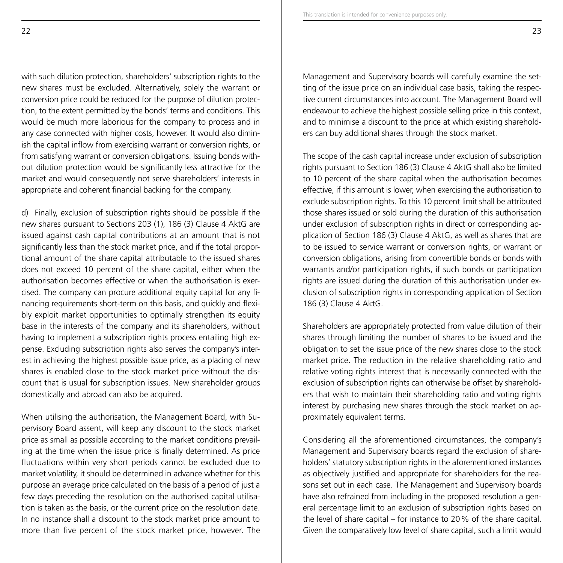with such dilution protection, shareholders' subscription rights to the new shares must be excluded. Alternatively, solely the warrant or conversion price could be reduced for the purpose of dilution protection, to the extent permitted by the bonds' terms and conditions. This would be much more laborious for the company to process and in any case connected with higher costs, however. It would also diminish the capital inflow from exercising warrant or conversion rights, or from satisfying warrant or conversion obligations. Issuing bonds without dilution protection would be significantly less attractive for the market and would consequently not serve shareholders' interests in appropriate and coherent financial backing for the company.

d) Finally, exclusion of subscription rights should be possible if the new shares pursuant to Sections 203 (1), 186 (3) Clause 4 AktG are issued against cash capital contributions at an amount that is not significantly less than the stock market price, and if the total proportional amount of the share capital attributable to the issued shares does not exceed 10 percent of the share capital, either when the authorisation becomes effective or when the authorisation is exercised. The company can procure additional equity capital for any financing requirements short-term on this basis, and quickly and flexibly exploit market opportunities to optimally strengthen its equity base in the interests of the company and its shareholders, without having to implement a subscription rights process entailing high expense. Excluding subscription rights also serves the company's interest in achieving the highest possible issue price, as a placing of new shares is enabled close to the stock market price without the discount that is usual for subscription issues. New shareholder groups domestically and abroad can also be acquired.

When utilising the authorisation, the Management Board, with Supervisory Board assent, will keep any discount to the stock market price as small as possible according to the market conditions prevailing at the time when the issue price is finally determined. As price fluctuations within very short periods cannot be excluded due to market volatility, it should be determined in advance whether for this purpose an average price calculated on the basis of a period of just a few days preceding the resolution on the authorised capital utilisation is taken as the basis, or the current price on the resolution date. In no instance shall a discount to the stock market price amount to more than five percent of the stock market price, however. The

Management and Supervisory boards will carefully examine the setting of the issue price on an individual case basis, taking the respective current circumstances into account. The Management Board will endeavour to achieve the highest possible selling price in this context, and to minimise a discount to the price at which existing shareholders can buy additional shares through the stock market.

The scope of the cash capital increase under exclusion of subscription rights pursuant to Section 186 (3) Clause 4 AktG shall also be limited to 10 percent of the share capital when the authorisation becomes effective, if this amount is lower, when exercising the authorisation to exclude subscription rights. To this 10 percent limit shall be attributed those shares issued or sold during the duration of this authorisation under exclusion of subscription rights in direct or corresponding application of Section 186 (3) Clause 4 AktG, as well as shares that are to be issued to service warrant or conversion rights, or warrant or conversion obligations, arising from convertible bonds or bonds with warrants and/or participation rights, if such bonds or participation rights are issued during the duration of this authorisation under exclusion of subscription rights in corresponding application of Section 186 (3) Clause 4 AktG.

Shareholders are appropriately protected from value dilution of their shares through limiting the number of shares to be issued and the obligation to set the issue price of the new shares close to the stock market price. The reduction in the relative shareholding ratio and relative voting rights interest that is necessarily connected with the exclusion of subscription rights can otherwise be offset by shareholders that wish to maintain their shareholding ratio and voting rights interest by purchasing new shares through the stock market on approximately equivalent terms.

Considering all the aforementioned circumstances, the company's Management and Supervisory boards regard the exclusion of shareholders' statutory subscription rights in the aforementioned instances as objectively justified and appropriate for shareholders for the reasons set out in each case. The Management and Supervisory boards have also refrained from including in the proposed resolution a general percentage limit to an exclusion of subscription rights based on the level of share capital – for instance to 20% of the share capital. Given the comparatively low level of share capital, such a limit would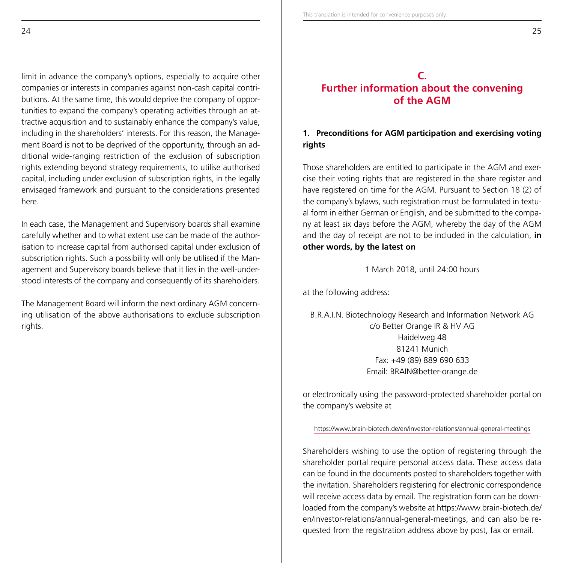limit in advance the company's options, especially to acquire other companies or interests in companies against non-cash capital contributions. At the same time, this would deprive the company of opportunities to expand the company's operating activities through an attractive acquisition and to sustainably enhance the company's value, including in the shareholders' interests. For this reason, the Management Board is not to be deprived of the opportunity, through an additional wide-ranging restriction of the exclusion of subscription rights extending beyond strategy requirements, to utilise authorised capital, including under exclusion of subscription rights, in the legally envisaged framework and pursuant to the considerations presented here.

In each case, the Management and Supervisory boards shall examine carefully whether and to what extent use can be made of the authorisation to increase capital from authorised capital under exclusion of subscription rights. Such a possibility will only be utilised if the Management and Supervisory boards believe that it lies in the well-understood interests of the company and consequently of its shareholders.

The Management Board will inform the next ordinary AGM concerning utilisation of the above authorisations to exclude subscription rights.

# **C. Further information about the convening of the AGM**

# **1. Preconditions for AGM participation and exercising voting rights**

Those shareholders are entitled to participate in the AGM and exercise their voting rights that are registered in the share register and have registered on time for the AGM. Pursuant to Section 18 (2) of the company's bylaws, such registration must be formulated in textual form in either German or English, and be submitted to the company at least six days before the AGM, whereby the day of the AGM and the day of receipt are not to be included in the calculation, **in other words, by the latest on** 

1 March 2018, until 24:00 hours

at the following address:

B.R.A.I.N. Biotechnology Research and Information Network AG c/o Better Orange IR & HV AG Haidelweg 48 81241 Munich Fax: +49 (89) 889 690 633 Email: BRAIN@better-orange.de

or electronically using the password-protected shareholder portal on the company's website at

https://www.brain-biotech.de/en/investor-relations/annual-general-meetings

Shareholders wishing to use the option of registering through the shareholder portal require personal access data. These access data can be found in the documents posted to shareholders together with the invitation. Shareholders registering for electronic correspondence will receive access data by email. The registration form can be downloaded from the company's website at https://www.brain-biotech.de/ en/investor-relations/annual-general-meetings, and can also be requested from the registration address above by post, fax or email.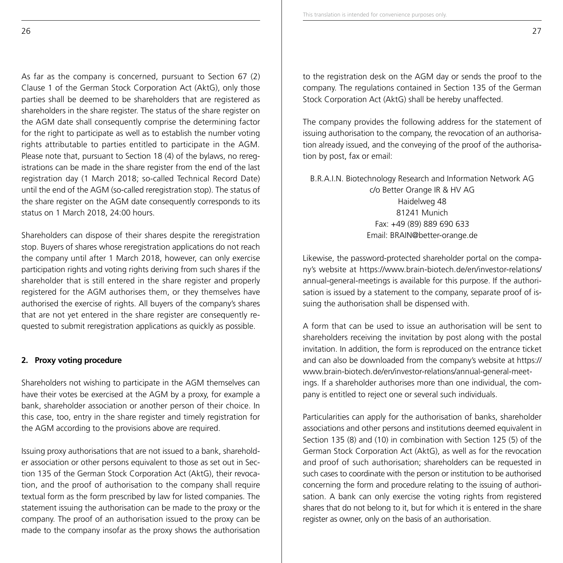As far as the company is concerned, pursuant to Section 67 (2) Clause 1 of the German Stock Corporation Act (AktG), only those parties shall be deemed to be shareholders that are registered as shareholders in the share register. The status of the share register on the AGM date shall consequently comprise the determining factor for the right to participate as well as to establish the number voting rights attributable to parties entitled to participate in the AGM. Please note that, pursuant to Section 18 (4) of the bylaws, no reregistrations can be made in the share register from the end of the last registration day (1 March 2018; so-called Technical Record Date) until the end of the AGM (so-called reregistration stop). The status of the share register on the AGM date consequently corresponds to its status on 1 March 2018, 24:00 hours.

Shareholders can dispose of their shares despite the reregistration stop. Buyers of shares whose reregistration applications do not reach the company until after 1 March 2018, however, can only exercise participation rights and voting rights deriving from such shares if the shareholder that is still entered in the share register and properly registered for the AGM authorises them, or they themselves have authorised the exercise of rights. All buyers of the company's shares that are not yet entered in the share register are consequently requested to submit reregistration applications as quickly as possible.

## **2. Proxy voting procedure**

Shareholders not wishing to participate in the AGM themselves can have their votes be exercised at the AGM by a proxy, for example a bank, shareholder association or another person of their choice. In this case, too, entry in the share register and timely registration for the AGM according to the provisions above are required.

Issuing proxy authorisations that are not issued to a bank, shareholder association or other persons equivalent to those as set out in Section 135 of the German Stock Corporation Act (AktG), their revocation, and the proof of authorisation to the company shall require textual form as the form prescribed by law for listed companies. The statement issuing the authorisation can be made to the proxy or the company. The proof of an authorisation issued to the proxy can be made to the company insofar as the proxy shows the authorisation to the registration desk on the AGM day or sends the proof to the company. The regulations contained in Section 135 of the German Stock Corporation Act (AktG) shall be hereby unaffected.

The company provides the following address for the statement of issuing authorisation to the company, the revocation of an authorisation already issued, and the conveying of the proof of the authorisation by post, fax or email:

B.R.A.I.N. Biotechnology Research and Information Network AG c/o Better Orange IR & HV AG Haidelweg 48 81241 Munich Fax: +49 (89) 889 690 633 Email: BRAIN@better-orange.de

Likewise, the password-protected shareholder portal on the company's website at https://www.brain-biotech.de/en/investor-relations/ annual-general-meetings is available for this purpose. If the authorisation is issued by a statement to the company, separate proof of issuing the authorisation shall be dispensed with.

A form that can be used to issue an authorisation will be sent to shareholders receiving the invitation by post along with the postal invitation. In addition, the form is reproduced on the entrance ticket and can also be downloaded from the company's website at https:// www.brain-biotech.de/en/investor-relations/annual-general-meetings. If a shareholder authorises more than one individual, the company is entitled to reject one or several such individuals.

Particularities can apply for the authorisation of banks, shareholder associations and other persons and institutions deemed equivalent in Section 135 (8) and (10) in combination with Section 125 (5) of the German Stock Corporation Act (AktG), as well as for the revocation and proof of such authorisation; shareholders can be requested in such cases to coordinate with the person or institution to be authorised concerning the form and procedure relating to the issuing of authorisation. A bank can only exercise the voting rights from registered shares that do not belong to it, but for which it is entered in the share register as owner, only on the basis of an authorisation.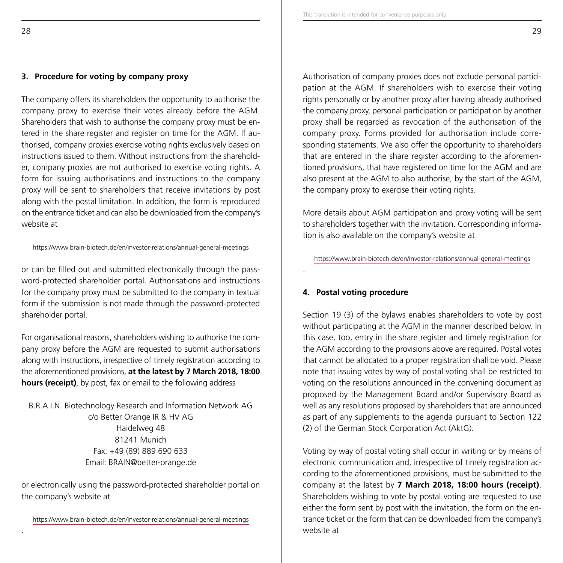## **3. Procedure for voting by company proxy**

The company offers its shareholders the opportunity to authorise the company proxy to exercise their votes already before the AGM. Shareholders that wish to authorise the company proxy must be entered in the share register and register on time for the AGM. If authorised, company proxies exercise voting rights exclusively based on instructions issued to them. Without instructions from the shareholder, company proxies are not authorised to exercise voting rights. A form for issuing authorisations and instructions to the company proxy will be sent to shareholders that receive invitations by post along with the postal limitation. In addition, the form is reproduced on the entrance ticket and can also be downloaded from the company's website at

#### https://www.brain-biotech.de/en/investor-relations/annual-general-meetings

or can be filled out and submitted electronically through the password-protected shareholder portal. Authorisations and instructions for the company proxy must be submitted to the company in textual form if the submission is not made through the password-protected shareholder portal.

For organisational reasons, shareholders wishing to authorise the company proxy before the AGM are requested to submit authorisations along with instructions, irrespective of timely registration according to the aforementioned provisions, **at the latest by 7 March 2018, 18:00 hours (receipt)**, by post, fax or email to the following address

B.R.A.I.N. Biotechnology Research and Information Network AG c/o Better Orange IR & HV AG Haidelweg 48 81241 Munich Fax: +49 (89) 889 690 633 Email: BRAIN@better-orange.de

or electronically using the password-protected shareholder portal on the company's website at

https://www.brain-biotech.de/en/investor-relations/annual-general-meetings

Authorisation of company proxies does not exclude personal participation at the AGM. If shareholders wish to exercise their voting rights personally or by another proxy after having already authorised the company proxy, personal participation or participation by another proxy shall be regarded as revocation of the authorisation of the company proxy. Forms provided for authorisation include corresponding statements. We also offer the opportunity to shareholders that are entered in the share register according to the aforementioned provisions, that have registered on time for the AGM and are also present at the AGM to also authorise, by the start of the AGM, the company proxy to exercise their voting rights.

More details about AGM participation and proxy voting will be sent to shareholders together with the invitation. Corresponding information is also available on the company's website at

https://www.brain-biotech.de/en/investor-relations/annual-general-meetings

## **4. Postal voting procedure**

.

Section 19 (3) of the bylaws enables shareholders to vote by post without participating at the AGM in the manner described below. In this case, too, entry in the share register and timely registration for the AGM according to the provisions above are required. Postal votes that cannot be allocated to a proper registration shall be void. Please note that issuing votes by way of postal voting shall be restricted to voting on the resolutions announced in the convening document as proposed by the Management Board and/or Supervisory Board as well as any resolutions proposed by shareholders that are announced as part of any supplements to the agenda pursuant to Section 122 (2) of the German Stock Corporation Act (AktG).

Voting by way of postal voting shall occur in writing or by means of electronic communication and, irrespective of timely registration according to the aforementioned provisions, must be submitted to the company at the latest by **7 March 2018, 18:00 hours (receipt)**. Shareholders wishing to vote by postal voting are requested to use either the form sent by post with the invitation, the form on the entrance ticket or the form that can be downloaded from the company's website at

.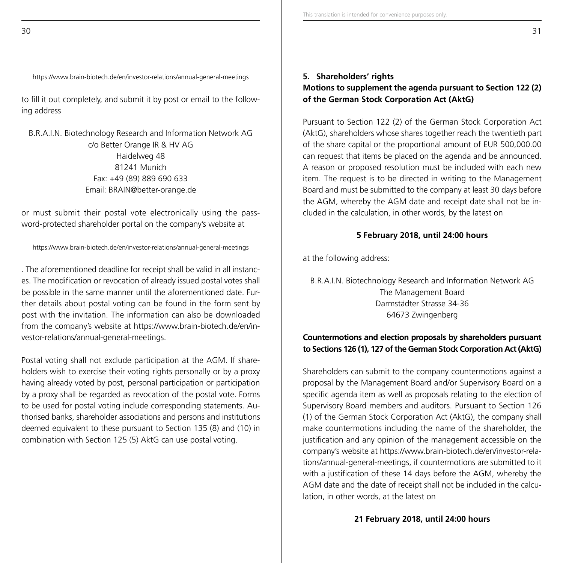## https://www.brain-biotech.de/en/investor-relations/annual-general-meetings

to fill it out completely, and submit it by post or email to the following address

B.R.A.I.N. Biotechnology Research and Information Network AG c/o Better Orange IR & HV AG Haidelweg 48 81241 Munich Fax: +49 (89) 889 690 633 Email: BRAIN@better-orange.de

or must submit their postal vote electronically using the password-protected shareholder portal on the company's website at

## https://www.brain-biotech.de/en/investor-relations/annual-general-meetings

. The aforementioned deadline for receipt shall be valid in all instances. The modification or revocation of already issued postal votes shall be possible in the same manner until the aforementioned date. Further details about postal voting can be found in the form sent by post with the invitation. The information can also be downloaded from the company's website at https://www.brain-biotech.de/en/investor-relations/annual-general-meetings.

Postal voting shall not exclude participation at the AGM. If shareholders wish to exercise their voting rights personally or by a proxy having already voted by post, personal participation or participation by a proxy shall be regarded as revocation of the postal vote. Forms to be used for postal voting include corresponding statements. Authorised banks, shareholder associations and persons and institutions deemed equivalent to these pursuant to Section 135 (8) and (10) in combination with Section 125 (5) AktG can use postal voting.

## **5. Shareholders' rights Motions to supplement the agenda pursuant to Section 122 (2) of the German Stock Corporation Act (AktG)**

Pursuant to Section 122 (2) of the German Stock Corporation Act (AktG), shareholders whose shares together reach the twentieth part of the share capital or the proportional amount of EUR 500,000.00 can request that items be placed on the agenda and be announced. A reason or proposed resolution must be included with each new item. The request is to be directed in writing to the Management Board and must be submitted to the company at least 30 days before the AGM, whereby the AGM date and receipt date shall not be included in the calculation, in other words, by the latest on

## **5 February 2018, until 24:00 hours**

at the following address:

B.R.A.I.N. Biotechnology Research and Information Network AG The Management Board Darmstädter Strasse 34-36 64673 Zwingenberg

## **Countermotions and election proposals by shareholders pursuant to Sections 126 (1), 127 of the German Stock Corporation Act (AktG)**

Shareholders can submit to the company countermotions against a proposal by the Management Board and/or Supervisory Board on a specific agenda item as well as proposals relating to the election of Supervisory Board members and auditors. Pursuant to Section 126 (1) of the German Stock Corporation Act (AktG), the company shall make countermotions including the name of the shareholder, the justification and any opinion of the management accessible on the company's website at https://www.brain-biotech.de/en/investor-relations/annual-general-meetings, if countermotions are submitted to it with a justification of these 14 days before the AGM, whereby the AGM date and the date of receipt shall not be included in the calculation, in other words, at the latest on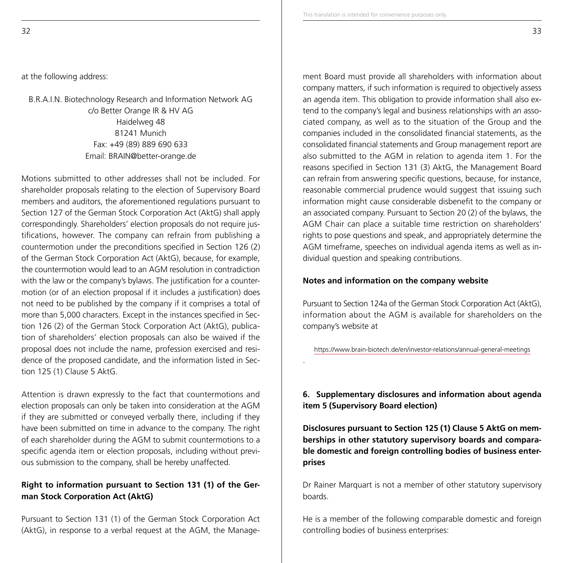at the following address:

B.R.A.I.N. Biotechnology Research and Information Network AG c/o Better Orange IR & HV AG Haidelweg 48 81241 Munich Fax: +49 (89) 889 690 633 Email: BRAIN@better-orange.de

Motions submitted to other addresses shall not be included. For shareholder proposals relating to the election of Supervisory Board members and auditors, the aforementioned regulations pursuant to Section 127 of the German Stock Corporation Act (AktG) shall apply correspondingly. Shareholders' election proposals do not require justifications, however. The company can refrain from publishing a countermotion under the preconditions specified in Section 126 (2) of the German Stock Corporation Act (AktG), because, for example, the countermotion would lead to an AGM resolution in contradiction with the law or the company's bylaws. The justification for a countermotion (or of an election proposal if it includes a justification) does not need to be published by the company if it comprises a total of more than 5,000 characters. Except in the instances specified in Section 126 (2) of the German Stock Corporation Act (AktG), publication of shareholders' election proposals can also be waived if the proposal does not include the name, profession exercised and residence of the proposed candidate, and the information listed in Section 125 (1) Clause 5 AktG.

Attention is drawn expressly to the fact that countermotions and election proposals can only be taken into consideration at the AGM if they are submitted or conveyed verbally there, including if they have been submitted on time in advance to the company. The right of each shareholder during the AGM to submit countermotions to a specific agenda item or election proposals, including without previous submission to the company, shall be hereby unaffected.

## **Right to information pursuant to Section 131 (1) of the German Stock Corporation Act (AktG)**

Pursuant to Section 131 (1) of the German Stock Corporation Act (AktG), in response to a verbal request at the AGM, the Management Board must provide all shareholders with information about company matters, if such information is required to objectively assess an agenda item. This obligation to provide information shall also extend to the company's legal and business relationships with an associated company, as well as to the situation of the Group and the companies included in the consolidated financial statements, as the consolidated financial statements and Group management report are also submitted to the AGM in relation to agenda item 1. For the reasons specified in Section 131 (3) AktG, the Management Board can refrain from answering specific questions, because, for instance, reasonable commercial prudence would suggest that issuing such information might cause considerable disbenefit to the company or an associated company. Pursuant to Section 20 (2) of the bylaws, the AGM Chair can place a suitable time restriction on shareholders' rights to pose questions and speak, and appropriately determine the AGM timeframe, speeches on individual agenda items as well as individual question and speaking contributions.

## **Notes and information on the company website**

.

Pursuant to Section 124a of the German Stock Corporation Act (AktG), information about the AGM is available for shareholders on the company's website at

https://www.brain-biotech.de/en/investor-relations/annual-general-meetings

## **6. Supplementary disclosures and information about agenda item 5 (Supervisory Board election)**

**Disclosures pursuant to Section 125 (1) Clause 5 AktG on memberships in other statutory supervisory boards and comparable domestic and foreign controlling bodies of business enterprises**

Dr Rainer Marquart is not a member of other statutory supervisory boards.

He is a member of the following comparable domestic and foreign controlling bodies of business enterprises: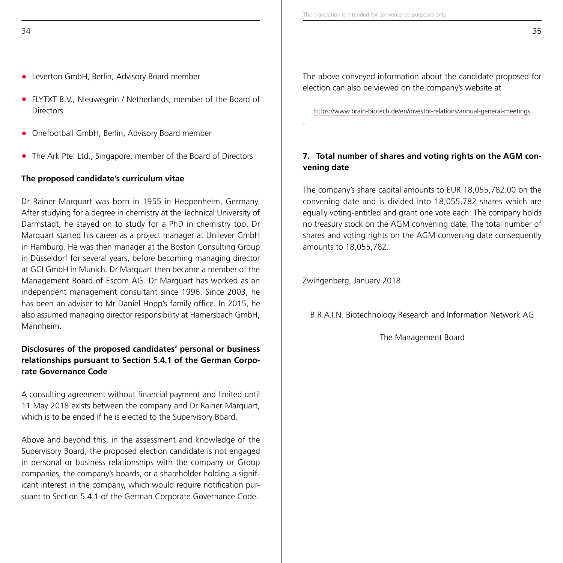- **•** Leverton GmbH, Berlin, Advisory Board member
- **•** FLYTXT B.V., Nieuwegein / Netherlands, member of the Board of **Directors**
- **•** Onefootball GmbH, Berlin, Advisory Board member
- **•** The Ark Pte. Ltd., Singapore, member of the Board of Directors

## **The proposed candidate's curriculum vitae**

Dr Rainer Marquart was born in 1955 in Heppenheim, Germany. After studying for a degree in chemistry at the Technical University of Darmstadt, he stayed on to study for a PhD in chemistry too. Dr Marquart started his career as a project manager at Unilever GmbH in Hamburg. He was then manager at the Boston Consulting Group in Düsseldorf for several years, before becoming managing director at GCI GmbH in Munich. Dr Marquart then became a member of the Management Board of Escom AG. Dr Marquart has worked as an independent management consultant since 1996. Since 2003, he has been an adviser to Mr Daniel Hopp's family office. In 2015, he also assumed managing director responsibility at Hamersbach GmbH, Mannheim.

## **Disclosures of the proposed candidates' personal or business relationships pursuant to Section 5.4.1 of the German Corporate Governance Code**

A consulting agreement without financial payment and limited until 11 May 2018 exists between the company and Dr Rainer Marquart, which is to be ended if he is elected to the Supervisory Board.

Above and beyond this, in the assessment and knowledge of the Supervisory Board, the proposed election candidate is not engaged in personal or business relationships with the company or Group companies, the company's boards, or a shareholder holding a significant interest in the company, which would require notification pursuant to Section 5.4.1 of the German Corporate Governance Code.

The above conveyed information about the candidate proposed for election can also be viewed on the company's website at

https://www.brain-biotech.de/en/investor-relations/annual-general-meetings

# **7. Total number of shares and voting rights on the AGM convening date**

The company's share capital amounts to EUR 18,055,782.00 on the convening date and is divided into 18,055,782 shares which are equally voting-entitled and grant one vote each. The company holds no treasury stock on the AGM convening date. The total number of shares and voting rights on the AGM convening date consequently amounts to 18,055,782.

Zwingenberg, January 2018

.

B.R.A.I.N. Biotechnology Research and Information Network AG

The Management Board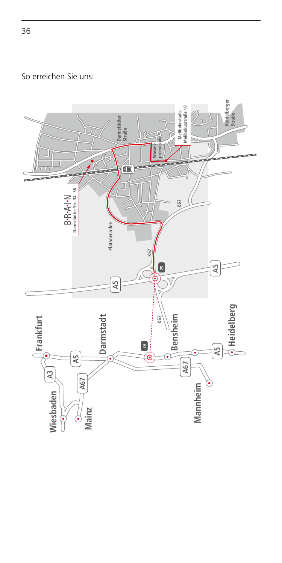